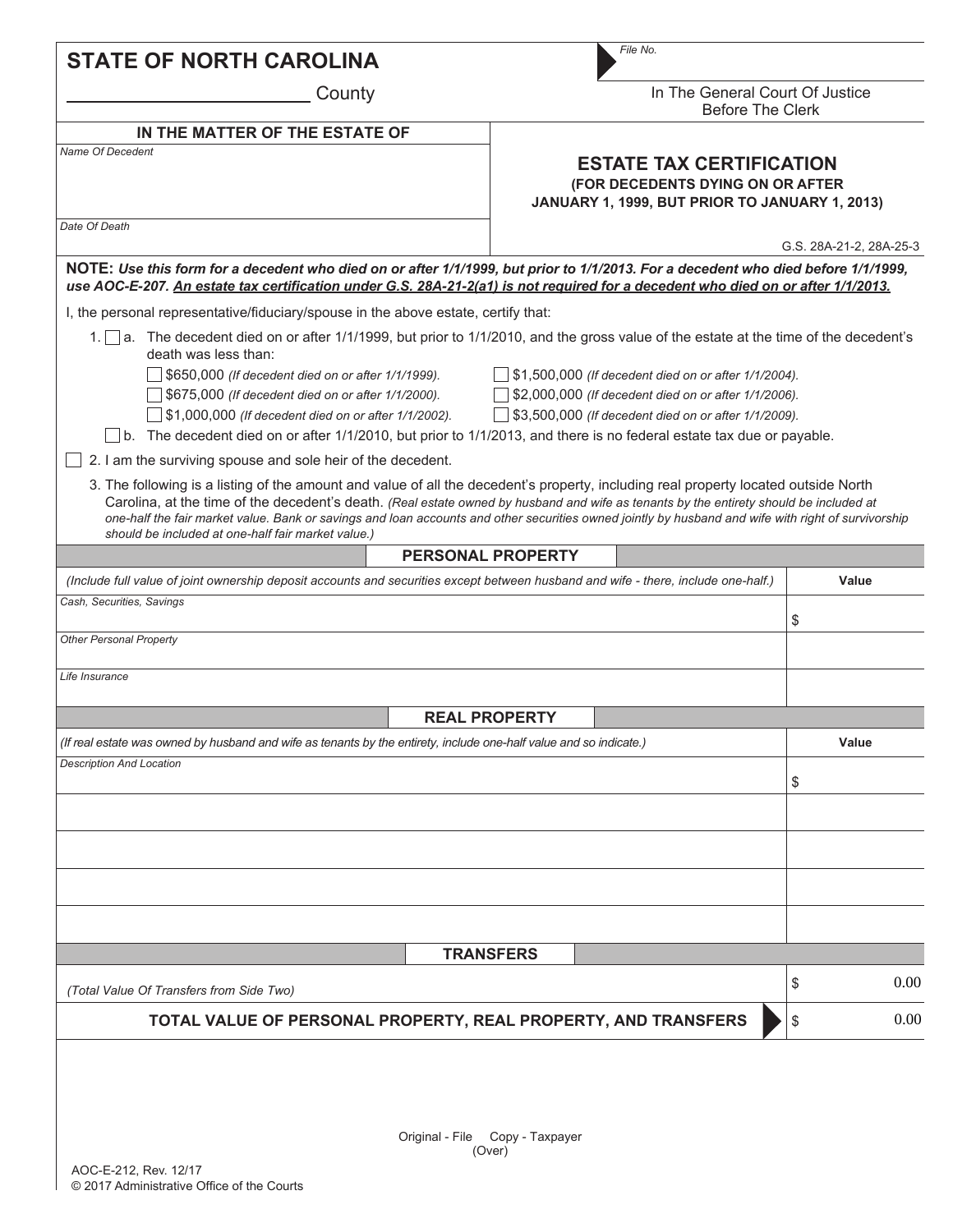| <b>STATE OF NORTH CAROLINA</b>                                                                                                                                                                                                                                                                          | File No.                                                                                                                                                                                                                                                                                      |  |  |  |
|---------------------------------------------------------------------------------------------------------------------------------------------------------------------------------------------------------------------------------------------------------------------------------------------------------|-----------------------------------------------------------------------------------------------------------------------------------------------------------------------------------------------------------------------------------------------------------------------------------------------|--|--|--|
| County                                                                                                                                                                                                                                                                                                  | In The General Court Of Justice<br><b>Before The Clerk</b>                                                                                                                                                                                                                                    |  |  |  |
| IN THE MATTER OF THE ESTATE OF                                                                                                                                                                                                                                                                          |                                                                                                                                                                                                                                                                                               |  |  |  |
| Name Of Decedent                                                                                                                                                                                                                                                                                        | <b>ESTATE TAX CERTIFICATION</b><br>(FOR DECEDENTS DYING ON OR AFTER<br>JANUARY 1, 1999, BUT PRIOR TO JANUARY 1, 2013)                                                                                                                                                                         |  |  |  |
| Date Of Death                                                                                                                                                                                                                                                                                           | G.S. 28A-21-2, 28A-25-3                                                                                                                                                                                                                                                                       |  |  |  |
| use AOC-E-207. An estate tax certification under G.S. 28A-21-2(a1) is not required for a decedent who died on or after 1/1/2013.                                                                                                                                                                        | NOTE: Use this form for a decedent who died on or after 1/1/1999, but prior to 1/1/2013. For a decedent who died before 1/1/1999,                                                                                                                                                             |  |  |  |
| I, the personal representative/fiduciary/spouse in the above estate, certify that:                                                                                                                                                                                                                      |                                                                                                                                                                                                                                                                                               |  |  |  |
| death was less than:                                                                                                                                                                                                                                                                                    | 1. a. The decedent died on or after 1/1/1999, but prior to 1/1/2010, and the gross value of the estate at the time of the decedent's                                                                                                                                                          |  |  |  |
| \$650,000 (If decedent died on or after 1/1/1999).<br>\$675,000 (If decedent died on or after 1/1/2000).<br>$\vert$ \$1,000,000 (If decedent died on or after 1/1/2002).<br>$\Box$ b. The decedent died on or after 1/1/2010, but prior to 1/1/2013, and there is no federal estate tax due or payable. | \$1,500,000 (If decedent died on or after 1/1/2004).<br>\$2,000,000 (If decedent died on or after 1/1/2006).<br>\$3,500,000 (If decedent died on or after 1/1/2009).                                                                                                                          |  |  |  |
| 2. I am the surviving spouse and sole heir of the decedent.                                                                                                                                                                                                                                             |                                                                                                                                                                                                                                                                                               |  |  |  |
| 3. The following is a listing of the amount and value of all the decedent's property, including real property located outside North<br>should be included at one-half fair market value.)                                                                                                               | Carolina, at the time of the decedent's death. (Real estate owned by husband and wife as tenants by the entirety should be included at<br>one-half the fair market value. Bank or savings and loan accounts and other securities owned jointly by husband and wife with right of survivorship |  |  |  |
|                                                                                                                                                                                                                                                                                                         | <b>PERSONAL PROPERTY</b>                                                                                                                                                                                                                                                                      |  |  |  |
| (Include full value of joint ownership deposit accounts and securities except between husband and wife - there, include one-half.)                                                                                                                                                                      | Value                                                                                                                                                                                                                                                                                         |  |  |  |
| Cash, Securities, Savings                                                                                                                                                                                                                                                                               | \$                                                                                                                                                                                                                                                                                            |  |  |  |
| <b>Other Personal Property</b>                                                                                                                                                                                                                                                                          |                                                                                                                                                                                                                                                                                               |  |  |  |
|                                                                                                                                                                                                                                                                                                         |                                                                                                                                                                                                                                                                                               |  |  |  |
| Life Insurance                                                                                                                                                                                                                                                                                          |                                                                                                                                                                                                                                                                                               |  |  |  |
|                                                                                                                                                                                                                                                                                                         | <b>REAL PROPERTY</b>                                                                                                                                                                                                                                                                          |  |  |  |
| (If real estate was owned by husband and wife as tenants by the entirety, include one-half value and so indicate.)                                                                                                                                                                                      | Value                                                                                                                                                                                                                                                                                         |  |  |  |
| <b>Description And Location</b>                                                                                                                                                                                                                                                                         |                                                                                                                                                                                                                                                                                               |  |  |  |
|                                                                                                                                                                                                                                                                                                         | \$                                                                                                                                                                                                                                                                                            |  |  |  |
|                                                                                                                                                                                                                                                                                                         |                                                                                                                                                                                                                                                                                               |  |  |  |
|                                                                                                                                                                                                                                                                                                         |                                                                                                                                                                                                                                                                                               |  |  |  |
|                                                                                                                                                                                                                                                                                                         |                                                                                                                                                                                                                                                                                               |  |  |  |
|                                                                                                                                                                                                                                                                                                         |                                                                                                                                                                                                                                                                                               |  |  |  |
|                                                                                                                                                                                                                                                                                                         |                                                                                                                                                                                                                                                                                               |  |  |  |
|                                                                                                                                                                                                                                                                                                         | <b>TRANSFERS</b>                                                                                                                                                                                                                                                                              |  |  |  |
| (Total Value Of Transfers from Side Two)                                                                                                                                                                                                                                                                | 0.00<br>\$                                                                                                                                                                                                                                                                                    |  |  |  |
| TOTAL VALUE OF PERSONAL PROPERTY, REAL PROPERTY, AND TRANSFERS                                                                                                                                                                                                                                          | 0.00<br>\$                                                                                                                                                                                                                                                                                    |  |  |  |
|                                                                                                                                                                                                                                                                                                         |                                                                                                                                                                                                                                                                                               |  |  |  |
|                                                                                                                                                                                                                                                                                                         |                                                                                                                                                                                                                                                                                               |  |  |  |
|                                                                                                                                                                                                                                                                                                         |                                                                                                                                                                                                                                                                                               |  |  |  |
| Original<br>⊏ilo.                                                                                                                                                                                                                                                                                       | $C_{\mathbf{a} \mathbf{b} \mathbf{b} \mathbf{c}}$<br>Toypo                                                                                                                                                                                                                                    |  |  |  |